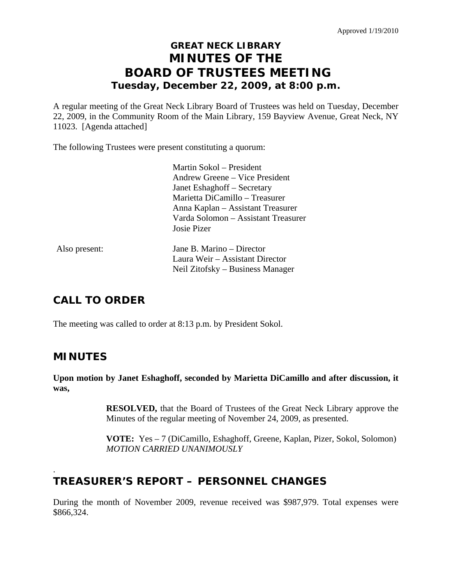# **GREAT NECK LIBRARY MINUTES OF THE BOARD OF TRUSTEES MEETING Tuesday, December 22, 2009, at 8:00 p.m.**

A regular meeting of the Great Neck Library Board of Trustees was held on Tuesday, December 22, 2009, in the Community Room of the Main Library, 159 Bayview Avenue, Great Neck, NY 11023. [Agenda attached]

The following Trustees were present constituting a quorum:

|               | Martin Sokol – President            |
|---------------|-------------------------------------|
|               | Andrew Greene – Vice President      |
|               | Janet Eshaghoff – Secretary         |
|               | Marietta DiCamillo - Treasurer      |
|               | Anna Kaplan – Assistant Treasurer   |
|               | Varda Solomon – Assistant Treasurer |
|               | Josie Pizer                         |
| Also present: | Jane B. Marino – Director           |
|               | Laura Weir – Assistant Director     |

# **CALL TO ORDER**

The meeting was called to order at 8:13 p.m. by President Sokol.

## **MINUTES**

.

**Upon motion by Janet Eshaghoff, seconded by Marietta DiCamillo and after discussion, it was,** 

Neil Zitofsky – Business Manager

**RESOLVED,** that the Board of Trustees of the Great Neck Library approve the Minutes of the regular meeting of November 24, 2009, as presented.

 **VOTE:** Yes – 7 (DiCamillo, Eshaghoff, Greene, Kaplan, Pizer, Sokol, Solomon)  *MOTION CARRIED UNANIMOUSLY* 

# **TREASURER'S REPORT – PERSONNEL CHANGES**

During the month of November 2009, revenue received was \$987,979. Total expenses were \$866,324.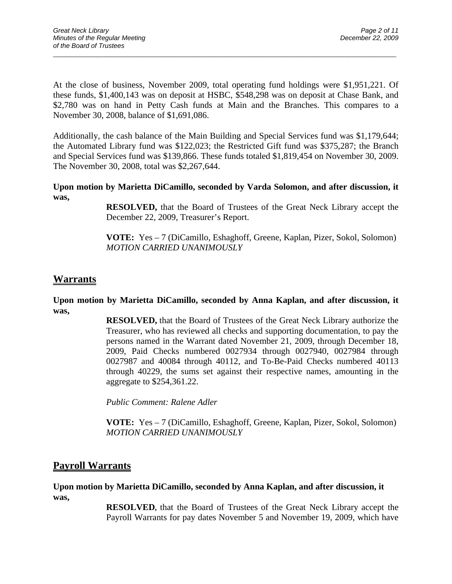At the close of business, November 2009, total operating fund holdings were \$1,951,221. Of these funds, \$1,400,143 was on deposit at HSBC, \$548,298 was on deposit at Chase Bank, and \$2,780 was on hand in Petty Cash funds at Main and the Branches. This compares to a November 30, 2008, balance of \$1,691,086.

 $\overline{a}$  , and the contribution of the contribution of the contribution of the contribution of the contribution of the contribution of the contribution of the contribution of the contribution of the contribution of the co

Additionally, the cash balance of the Main Building and Special Services fund was \$1,179,644; the Automated Library fund was \$122,023; the Restricted Gift fund was \$375,287; the Branch and Special Services fund was \$139,866. These funds totaled \$1,819,454 on November 30, 2009. The November 30, 2008, total was \$2,267,644.

**Upon motion by Marietta DiCamillo, seconded by Varda Solomon, and after discussion, it was,** 

> **RESOLVED,** that the Board of Trustees of the Great Neck Library accept the December 22, 2009, Treasurer's Report.

> **VOTE:** Yes – 7 (DiCamillo, Eshaghoff, Greene, Kaplan, Pizer, Sokol, Solomon)  *MOTION CARRIED UNANIMOUSLY*

## **Warrants**

**Upon motion by Marietta DiCamillo, seconded by Anna Kaplan, and after discussion, it was,** 

> **RESOLVED,** that the Board of Trustees of the Great Neck Library authorize the Treasurer, who has reviewed all checks and supporting documentation, to pay the persons named in the Warrant dated November 21, 2009, through December 18, 2009, Paid Checks numbered 0027934 through 0027940, 0027984 through 0027987 and 40084 through 40112, and To-Be-Paid Checks numbered 40113 through 40229, the sums set against their respective names, amounting in the aggregate to \$254,361.22.

*Public Comment: Ralene Adler* 

**VOTE:** Yes – 7 (DiCamillo, Eshaghoff, Greene, Kaplan, Pizer, Sokol, Solomon) *MOTION CARRIED UNANIMOUSLY* 

### **Payroll Warrants**

#### **Upon motion by Marietta DiCamillo, seconded by Anna Kaplan, and after discussion, it was,**

**RESOLVED,** that the Board of Trustees of the Great Neck Library accept the Payroll Warrants for pay dates November 5 and November 19, 2009, which have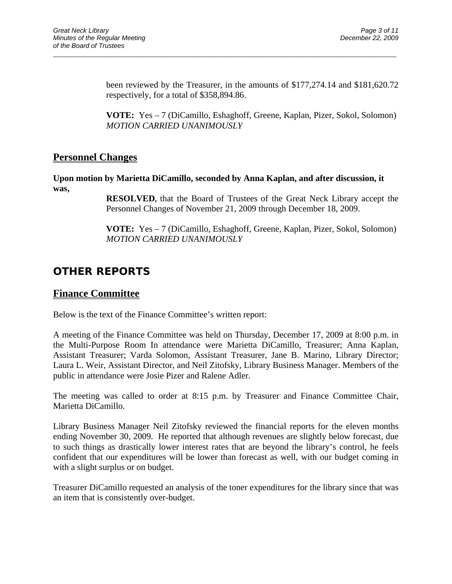been reviewed by the Treasurer, in the amounts of \$177,274.14 and \$181,620.72 respectively, for a total of \$358,894.86.

**VOTE:** Yes – 7 (DiCamillo, Eshaghoff, Greene, Kaplan, Pizer, Sokol, Solomon) *MOTION CARRIED UNANIMOUSLY* 

### **Personnel Changes**

**Upon motion by Marietta DiCamillo, seconded by Anna Kaplan, and after discussion, it was,** 

 $\overline{a}$  , and the contribution of the contribution of the contribution of the contribution of the contribution of the contribution of the contribution of the contribution of the contribution of the contribution of the co

**RESOLVED,** that the Board of Trustees of the Great Neck Library accept the Personnel Changes of November 21, 2009 through December 18, 2009.

**VOTE:** Yes – 7 (DiCamillo, Eshaghoff, Greene, Kaplan, Pizer, Sokol, Solomon) *MOTION CARRIED UNANIMOUSLY* 

# **OTHER REPORTS**

### **Finance Committee**

Below is the text of the Finance Committee's written report:

A meeting of the Finance Committee was held on Thursday, December 17, 2009 at 8:00 p.m. in the Multi-Purpose Room In attendance were Marietta DiCamillo, Treasurer; Anna Kaplan, Assistant Treasurer; Varda Solomon, Assistant Treasurer, Jane B. Marino, Library Director; Laura L. Weir, Assistant Director, and Neil Zitofsky, Library Business Manager. Members of the public in attendance were Josie Pizer and Ralene Adler.

The meeting was called to order at 8:15 p.m. by Treasurer and Finance Committee Chair, Marietta DiCamillo.

Library Business Manager Neil Zitofsky reviewed the financial reports for the eleven months ending November 30, 2009. He reported that although revenues are slightly below forecast, due to such things as drastically lower interest rates that are beyond the library's control, he feels confident that our expenditures will be lower than forecast as well, with our budget coming in with a slight surplus or on budget.

Treasurer DiCamillo requested an analysis of the toner expenditures for the library since that was an item that is consistently over-budget.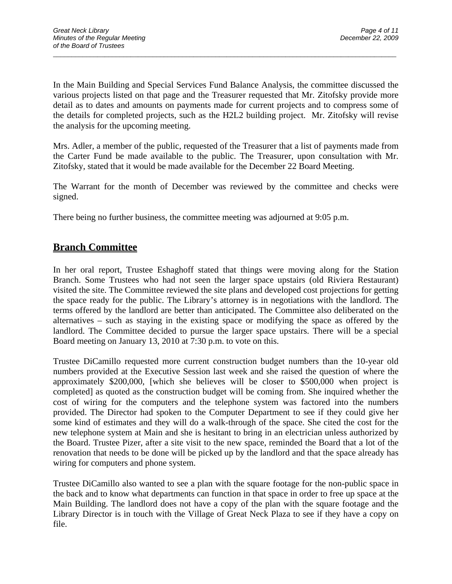In the Main Building and Special Services Fund Balance Analysis, the committee discussed the various projects listed on that page and the Treasurer requested that Mr. Zitofsky provide more detail as to dates and amounts on payments made for current projects and to compress some of the details for completed projects, such as the H2L2 building project. Mr. Zitofsky will revise the analysis for the upcoming meeting.

 $\overline{a}$  , and the contribution of the contribution of the contribution of the contribution of the contribution of the contribution of the contribution of the contribution of the contribution of the contribution of the co

Mrs. Adler, a member of the public, requested of the Treasurer that a list of payments made from the Carter Fund be made available to the public. The Treasurer, upon consultation with Mr. Zitofsky, stated that it would be made available for the December 22 Board Meeting.

The Warrant for the month of December was reviewed by the committee and checks were signed.

There being no further business, the committee meeting was adjourned at 9:05 p.m.

## **Branch Committee**

In her oral report, Trustee Eshaghoff stated that things were moving along for the Station Branch. Some Trustees who had not seen the larger space upstairs (old Riviera Restaurant) visited the site. The Committee reviewed the site plans and developed cost projections for getting the space ready for the public. The Library's attorney is in negotiations with the landlord. The terms offered by the landlord are better than anticipated. The Committee also deliberated on the alternatives – such as staying in the existing space or modifying the space as offered by the landlord. The Committee decided to pursue the larger space upstairs. There will be a special Board meeting on January 13, 2010 at 7:30 p.m. to vote on this.

Trustee DiCamillo requested more current construction budget numbers than the 10-year old numbers provided at the Executive Session last week and she raised the question of where the approximately \$200,000, [which she believes will be closer to \$500,000 when project is completed] as quoted as the construction budget will be coming from. She inquired whether the cost of wiring for the computers and the telephone system was factored into the numbers provided. The Director had spoken to the Computer Department to see if they could give her some kind of estimates and they will do a walk-through of the space. She cited the cost for the new telephone system at Main and she is hesitant to bring in an electrician unless authorized by the Board. Trustee Pizer, after a site visit to the new space, reminded the Board that a lot of the renovation that needs to be done will be picked up by the landlord and that the space already has wiring for computers and phone system.

Trustee DiCamillo also wanted to see a plan with the square footage for the non-public space in the back and to know what departments can function in that space in order to free up space at the Main Building. The landlord does not have a copy of the plan with the square footage and the Library Director is in touch with the Village of Great Neck Plaza to see if they have a copy on file.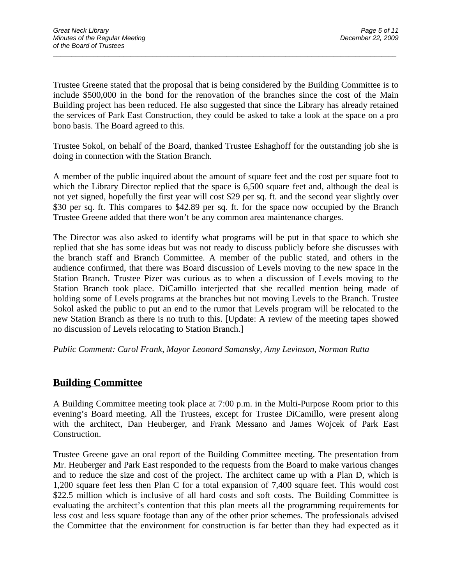Trustee Greene stated that the proposal that is being considered by the Building Committee is to include \$500,000 in the bond for the renovation of the branches since the cost of the Main Building project has been reduced. He also suggested that since the Library has already retained the services of Park East Construction, they could be asked to take a look at the space on a pro bono basis. The Board agreed to this.

 $\overline{a}$  , and the contribution of the contribution of the contribution of the contribution of the contribution of the contribution of the contribution of the contribution of the contribution of the contribution of the co

Trustee Sokol, on behalf of the Board, thanked Trustee Eshaghoff for the outstanding job she is doing in connection with the Station Branch.

A member of the public inquired about the amount of square feet and the cost per square foot to which the Library Director replied that the space is 6,500 square feet and, although the deal is not yet signed, hopefully the first year will cost \$29 per sq. ft. and the second year slightly over \$30 per sq. ft. This compares to \$42.89 per sq. ft. for the space now occupied by the Branch Trustee Greene added that there won't be any common area maintenance charges.

The Director was also asked to identify what programs will be put in that space to which she replied that she has some ideas but was not ready to discuss publicly before she discusses with the branch staff and Branch Committee. A member of the public stated, and others in the audience confirmed, that there was Board discussion of Levels moving to the new space in the Station Branch. Trustee Pizer was curious as to when a discussion of Levels moving to the Station Branch took place. DiCamillo interjected that she recalled mention being made of holding some of Levels programs at the branches but not moving Levels to the Branch. Trustee Sokol asked the public to put an end to the rumor that Levels program will be relocated to the new Station Branch as there is no truth to this. [Update: A review of the meeting tapes showed no discussion of Levels relocating to Station Branch.]

*Public Comment: Carol Frank, Mayor Leonard Samansky, Amy Levinson, Norman Rutta*

## **Building Committee**

A Building Committee meeting took place at 7:00 p.m. in the Multi-Purpose Room prior to this evening's Board meeting. All the Trustees, except for Trustee DiCamillo, were present along with the architect, Dan Heuberger, and Frank Messano and James Wojcek of Park East Construction.

Trustee Greene gave an oral report of the Building Committee meeting. The presentation from Mr. Heuberger and Park East responded to the requests from the Board to make various changes and to reduce the size and cost of the project. The architect came up with a Plan D, which is 1,200 square feet less then Plan C for a total expansion of 7,400 square feet. This would cost \$22.5 million which is inclusive of all hard costs and soft costs. The Building Committee is evaluating the architect's contention that this plan meets all the programming requirements for less cost and less square footage than any of the other prior schemes. The professionals advised the Committee that the environment for construction is far better than they had expected as it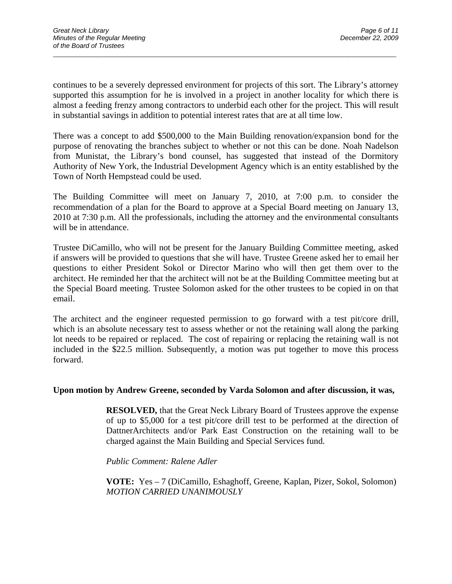continues to be a severely depressed environment for projects of this sort. The Library's attorney supported this assumption for he is involved in a project in another locality for which there is almost a feeding frenzy among contractors to underbid each other for the project. This will result in substantial savings in addition to potential interest rates that are at all time low.

 $\overline{a}$  , and the contribution of the contribution of the contribution of the contribution of the contribution of the contribution of the contribution of the contribution of the contribution of the contribution of the co

There was a concept to add \$500,000 to the Main Building renovation/expansion bond for the purpose of renovating the branches subject to whether or not this can be done. Noah Nadelson from Munistat, the Library's bond counsel, has suggested that instead of the Dormitory Authority of New York, the Industrial Development Agency which is an entity established by the Town of North Hempstead could be used.

The Building Committee will meet on January 7, 2010, at 7:00 p.m. to consider the recommendation of a plan for the Board to approve at a Special Board meeting on January 13, 2010 at 7:30 p.m. All the professionals, including the attorney and the environmental consultants will be in attendance.

Trustee DiCamillo, who will not be present for the January Building Committee meeting, asked if answers will be provided to questions that she will have. Trustee Greene asked her to email her questions to either President Sokol or Director Marino who will then get them over to the architect. He reminded her that the architect will not be at the Building Committee meeting but at the Special Board meeting. Trustee Solomon asked for the other trustees to be copied in on that email.

The architect and the engineer requested permission to go forward with a test pit/core drill, which is an absolute necessary test to assess whether or not the retaining wall along the parking lot needs to be repaired or replaced. The cost of repairing or replacing the retaining wall is not included in the \$22.5 million. Subsequently, a motion was put together to move this process forward.

#### **Upon motion by Andrew Greene, seconded by Varda Solomon and after discussion, it was,**

**RESOLVED,** that the Great Neck Library Board of Trustees approve the expense of up to \$5,000 for a test pit/core drill test to be performed at the direction of DattnerArchitects and/or Park East Construction on the retaining wall to be charged against the Main Building and Special Services fund.

*Public Comment: Ralene Adler* 

 **VOTE:** Yes – 7 (DiCamillo, Eshaghoff, Greene, Kaplan, Pizer, Sokol, Solomon)  *MOTION CARRIED UNANIMOUSLY*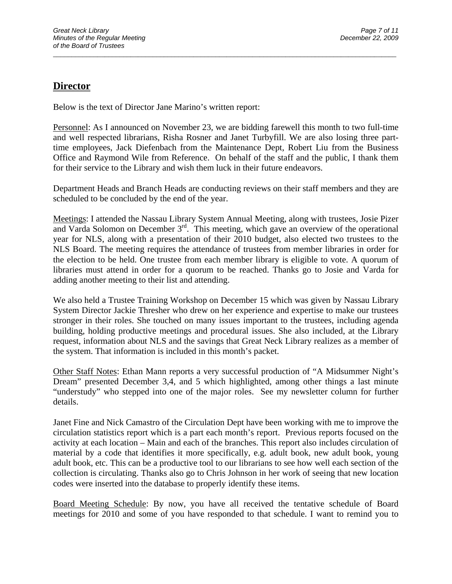## **Director**

Below is the text of Director Jane Marino's written report:

Personnel: As I announced on November 23, we are bidding farewell this month to two full-time and well respected librarians, Risha Rosner and Janet Turbyfill. We are also losing three parttime employees, Jack Diefenbach from the Maintenance Dept, Robert Liu from the Business Office and Raymond Wile from Reference. On behalf of the staff and the public, I thank them for their service to the Library and wish them luck in their future endeavors.

 $\overline{a}$  , and the contribution of the contribution of the contribution of the contribution of the contribution of the contribution of the contribution of the contribution of the contribution of the contribution of the co

Department Heads and Branch Heads are conducting reviews on their staff members and they are scheduled to be concluded by the end of the year.

Meetings: I attended the Nassau Library System Annual Meeting, along with trustees, Josie Pizer and Varda Solomon on December  $3<sup>rd</sup>$ . This meeting, which gave an overview of the operational year for NLS, along with a presentation of their 2010 budget, also elected two trustees to the NLS Board. The meeting requires the attendance of trustees from member libraries in order for the election to be held. One trustee from each member library is eligible to vote. A quorum of libraries must attend in order for a quorum to be reached. Thanks go to Josie and Varda for adding another meeting to their list and attending.

We also held a Trustee Training Workshop on December 15 which was given by Nassau Library System Director Jackie Thresher who drew on her experience and expertise to make our trustees stronger in their roles. She touched on many issues important to the trustees, including agenda building, holding productive meetings and procedural issues. She also included, at the Library request, information about NLS and the savings that Great Neck Library realizes as a member of the system. That information is included in this month's packet.

Other Staff Notes: Ethan Mann reports a very successful production of "A Midsummer Night's Dream" presented December 3,4, and 5 which highlighted, among other things a last minute "understudy" who stepped into one of the major roles. See my newsletter column for further details.

Janet Fine and Nick Camastro of the Circulation Dept have been working with me to improve the circulation statistics report which is a part each month's report. Previous reports focused on the activity at each location – Main and each of the branches. This report also includes circulation of material by a code that identifies it more specifically, e.g. adult book, new adult book, young adult book, etc. This can be a productive tool to our librarians to see how well each section of the collection is circulating. Thanks also go to Chris Johnson in her work of seeing that new location codes were inserted into the database to properly identify these items.

Board Meeting Schedule: By now, you have all received the tentative schedule of Board meetings for 2010 and some of you have responded to that schedule. I want to remind you to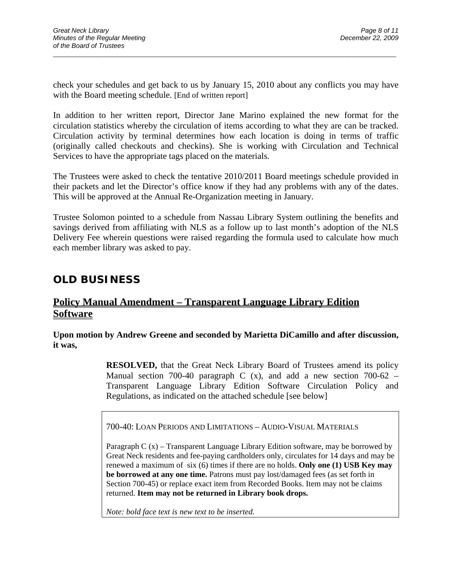check your schedules and get back to us by January 15, 2010 about any conflicts you may have with the Board meeting schedule. [End of written report]

 $\overline{a}$  , and the contribution of the contribution of the contribution of the contribution of the contribution of the contribution of the contribution of the contribution of the contribution of the contribution of the co

In addition to her written report, Director Jane Marino explained the new format for the circulation statistics whereby the circulation of items according to what they are can be tracked. Circulation activity by terminal determines how each location is doing in terms of traffic (originally called checkouts and checkins). She is working with Circulation and Technical Services to have the appropriate tags placed on the materials.

The Trustees were asked to check the tentative 2010/2011 Board meetings schedule provided in their packets and let the Director's office know if they had any problems with any of the dates. This will be approved at the Annual Re-Organization meeting in January.

Trustee Solomon pointed to a schedule from Nassau Library System outlining the benefits and savings derived from affiliating with NLS as a follow up to last month's adoption of the NLS Delivery Fee wherein questions were raised regarding the formula used to calculate how much each member library was asked to pay.

# **OLD BUSINESS**

## **Policy Manual Amendment – Transparent Language Library Edition Software**

**Upon motion by Andrew Greene and seconded by Marietta DiCamillo and after discussion, it was,** 

> **RESOLVED,** that the Great Neck Library Board of Trustees amend its policy Manual section 700-40 paragraph C  $(x)$ , and add a new section 700-62 – Transparent Language Library Edition Software Circulation Policy and Regulations, as indicated on the attached schedule [see below]

700-40: LOAN PERIODS AND LIMITATIONS – AUDIO-VISUAL MATERIALS

Paragraph  $C(x)$  – Transparent Language Library Edition software, may be borrowed by Great Neck residents and fee-paying cardholders only, circulates for 14 days and may be renewed a maximum of six (6) times if there are no holds. **Only one (1) USB Key may be borrowed at any one time.** Patrons must pay lost/damaged fees (as set forth in Section 700-45) or replace exact item from Recorded Books. Item may not be claims returned. **Item may not be returned in Library book drops.** 

*Note: bold face text is new text to be inserted.*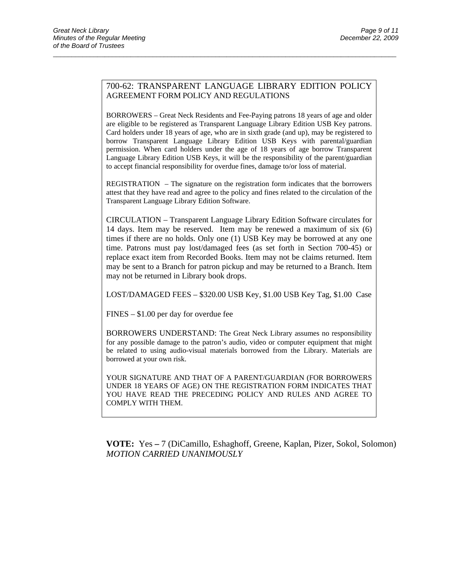#### 700-62: TRANSPARENT LANGUAGE LIBRARY EDITION POLICY AGREEMENT FORM POLICY AND REGULATIONS

 $\overline{a}$  , and the contribution of the contribution of the contribution of the contribution of the contribution of the contribution of the contribution of the contribution of the contribution of the contribution of the co

BORROWERS – Great Neck Residents and Fee-Paying patrons 18 years of age and older are eligible to be registered as Transparent Language Library Edition USB Key patrons. Card holders under 18 years of age, who are in sixth grade (and up), may be registered to borrow Transparent Language Library Edition USB Keys with parental/guardian permission. When card holders under the age of 18 years of age borrow Transparent Language Library Edition USB Keys, it will be the responsibility of the parent/guardian to accept financial responsibility for overdue fines, damage to/or loss of material.

REGISTRATION – The signature on the registration form indicates that the borrowers attest that they have read and agree to the policy and fines related to the circulation of the Transparent Language Library Edition Software.

CIRCULATION – Transparent Language Library Edition Software circulates for 14 days. Item may be reserved. Item may be renewed a maximum of six (6) times if there are no holds. Only one (1) USB Key may be borrowed at any one time. Patrons must pay lost/damaged fees (as set forth in Section 700-45) or replace exact item from Recorded Books. Item may not be claims returned. Item may be sent to a Branch for patron pickup and may be returned to a Branch. Item may not be returned in Library book drops.

LOST/DAMAGED FEES – \$320.00 USB Key, \$1.00 USB Key Tag, \$1.00 Case

FINES – \$1.00 per day for overdue fee

BORROWERS UNDERSTAND: The Great Neck Library assumes no responsibility for any possible damage to the patron's audio, video or computer equipment that might be related to using audio-visual materials borrowed from the Library. Materials are borrowed at your own risk.

YOUR SIGNATURE AND THAT OF A PARENT/GUARDIAN (FOR BORROWERS UNDER 18 YEARS OF AGE) ON THE REGISTRATION FORM INDICATES THAT YOU HAVE READ THE PRECEDING POLICY AND RULES AND AGREE TO COMPLY WITH THEM.

 **VOTE:** Yes **–** 7 (DiCamillo, Eshaghoff, Greene, Kaplan, Pizer, Sokol, Solomon) *MOTION CARRIED UNANIMOUSLY*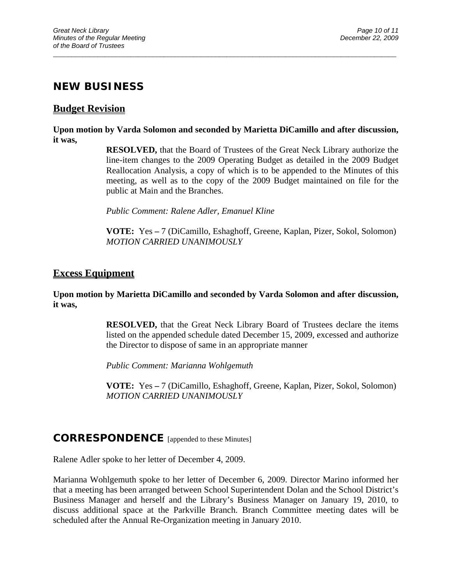## **NEW BUSINESS**

### **Budget Revision**

#### **Upon motion by Varda Solomon and seconded by Marietta DiCamillo and after discussion, it was,**

 $\overline{a}$  , and the contribution of the contribution of the contribution of the contribution of the contribution of the contribution of the contribution of the contribution of the contribution of the contribution of the co

**RESOLVED,** that the Board of Trustees of the Great Neck Library authorize the line-item changes to the 2009 Operating Budget as detailed in the 2009 Budget Reallocation Analysis, a copy of which is to be appended to the Minutes of this meeting, as well as to the copy of the 2009 Budget maintained on file for the public at Main and the Branches.

 *Public Comment: Ralene Adler, Emanuel Kline* 

 **VOTE:** Yes **–** 7 (DiCamillo, Eshaghoff, Greene, Kaplan, Pizer, Sokol, Solomon) *MOTION CARRIED UNANIMOUSLY* 

### **Excess Equipment**

#### **Upon motion by Marietta DiCamillo and seconded by Varda Solomon and after discussion, it was,**

**RESOLVED,** that the Great Neck Library Board of Trustees declare the items listed on the appended schedule dated December 15, 2009, excessed and authorize the Director to dispose of same in an appropriate manner

*Public Comment: Marianna Wohlgemuth* 

 **VOTE:** Yes **–** 7 (DiCamillo, Eshaghoff, Greene, Kaplan, Pizer, Sokol, Solomon)  *MOTION CARRIED UNANIMOUSLY* 

### **CORRESPONDENCE** [appended to these Minutes]

Ralene Adler spoke to her letter of December 4, 2009.

Marianna Wohlgemuth spoke to her letter of December 6, 2009. Director Marino informed her that a meeting has been arranged between School Superintendent Dolan and the School District's Business Manager and herself and the Library's Business Manager on January 19, 2010, to discuss additional space at the Parkville Branch. Branch Committee meeting dates will be scheduled after the Annual Re-Organization meeting in January 2010.